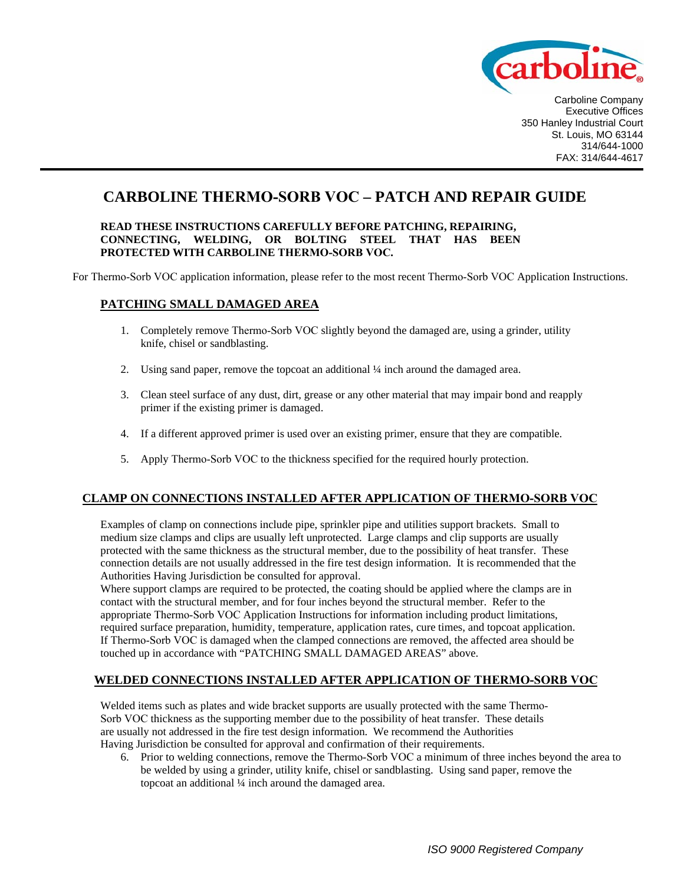

Carboline Company Executive Offices 350 Hanley Industrial Court St. Louis, MO 63144 314/644-1000 FAX: 314/644-4617

# **CARBOLINE THERMO-SORB VOC – PATCH AND REPAIR GUIDE**

#### **READ THESE INSTRUCTIONS CAREFULLY BEFORE PATCHING, REPAIRING, CONNECTING, WELDING, OR BOLTING STEEL THAT HAS BEEN PROTECTED WITH CARBOLINE THERMO-SORB VOC.**

For Thermo-Sorb VOC application information, please refer to the most recent Thermo-Sorb VOC Application Instructions.

### **PATCHING SMALL DAMAGED AREA**

- 1. Completely remove Thermo-Sorb VOC slightly beyond the damaged are, using a grinder, utility knife, chisel or sandblasting.
- 2. Using sand paper, remove the topcoat an additional ¼ inch around the damaged area.
- 3. Clean steel surface of any dust, dirt, grease or any other material that may impair bond and reapply primer if the existing primer is damaged.
- 4. If a different approved primer is used over an existing primer, ensure that they are compatible.
- 5. Apply Thermo-Sorb VOC to the thickness specified for the required hourly protection.

### **CLAMP ON CONNECTIONS INSTALLED AFTER APPLICATION OF THERMO-SORB VOC**

Examples of clamp on connections include pipe, sprinkler pipe and utilities support brackets. Small to medium size clamps and clips are usually left unprotected. Large clamps and clip supports are usually protected with the same thickness as the structural member, due to the possibility of heat transfer. These connection details are not usually addressed in the fire test design information. It is recommended that the Authorities Having Jurisdiction be consulted for approval.

Where support clamps are required to be protected, the coating should be applied where the clamps are in contact with the structural member, and for four inches beyond the structural member. Refer to the appropriate Thermo-Sorb VOC Application Instructions for information including product limitations, required surface preparation, humidity, temperature, application rates, cure times, and topcoat application. If Thermo-Sorb VOC is damaged when the clamped connections are removed, the affected area should be touched up in accordance with "PATCHING SMALL DAMAGED AREAS" above.

### **WELDED CONNECTIONS INSTALLED AFTER APPLICATION OF THERMO-SORB VOC**

Welded items such as plates and wide bracket supports are usually protected with the same Thermo-Sorb VOC thickness as the supporting member due to the possibility of heat transfer. These details are usually not addressed in the fire test design information. We recommend the Authorities Having Jurisdiction be consulted for approval and confirmation of their requirements.

6. Prior to welding connections, remove the Thermo-Sorb VOC a minimum of three inches beyond the area to be welded by using a grinder, utility knife, chisel or sandblasting. Using sand paper, remove the topcoat an additional ¼ inch around the damaged area.